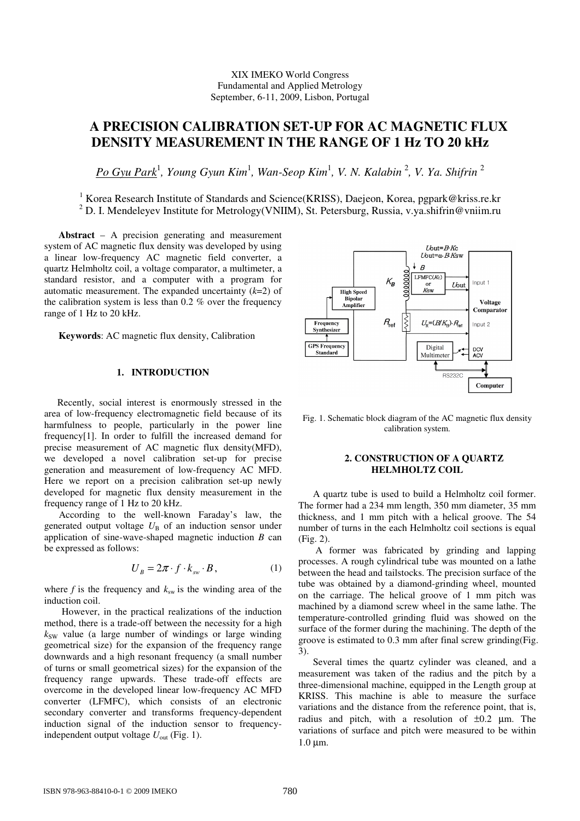## XIX IMEKO World Congress Fundamental and Applied Metrology September, 6-11, 2009, Lisbon, Portugal

# **A PRECISION CALIBRATION SET-UP FOR AC MAGNETIC FLUX DENSITY MEASUREMENT IN THE RANGE OF 1 Hz TO 20 kHz**

*Po Gyu Park*<sup>1</sup> *, Young Gyun Kim*<sup>1</sup> *, Wan-Seop Kim*<sup>1</sup> *, V. N. Kalabin* <sup>2</sup> *, V. Ya. Shifrin* <sup>2</sup>

<sup>1</sup> Korea Research Institute of Standards and Science(KRISS), Daejeon, Korea, pgpark@kriss.re.kr <sup>2</sup> D. I. Mendeleyev Institute for Metrology(VNIIM), St. Petersburg, Russia, v.ya.shifrin@vniim.ru

**Abstract** – A precision generating and measurement system of AC magnetic flux density was developed by using a linear low-frequency AC magnetic field converter, a quartz Helmholtz coil, a voltage comparator, a multimeter, a standard resistor, and a computer with a program for automatic measurement. The expanded uncertainty (*k*=2) of the calibration system is less than 0.2 % over the frequency range of 1 Hz to 20 kHz.

**Keywords**: AC magnetic flux density, Calibration

# **1. INTRODUCTION**

Recently, social interest is enormously stressed in the area of low-frequency electromagnetic field because of its harmfulness to people, particularly in the power line frequency[1]. In order to fulfill the increased demand for precise measurement of AC magnetic flux density(MFD), we developed a novel calibration set-up for precise generation and measurement of low-frequency AC MFD. Here we report on a precision calibration set-up newly developed for magnetic flux density measurement in the frequency range of 1 Hz to 20 kHz.

According to the well-known Faraday's law, the generated output voltage  $U_B$  of an induction sensor under application of sine-wave-shaped magnetic induction *B* can be expressed as follows:

$$
U_B = 2\pi \cdot f \cdot k_{\rm sw} \cdot B, \qquad (1)
$$

where  $f$  is the frequency and  $k_{sw}$  is the winding area of the induction coil.

However, in the practical realizations of the induction method, there is a trade-off between the necessity for a high  $k_{SW}$  value (a large number of windings or large winding geometrical size) for the expansion of the frequency range downwards and a high resonant frequency (a small number of turns or small geometrical sizes) for the expansion of the frequency range upwards. These trade-off effects are overcome in the developed linear low-frequency AC MFD converter (LFMFC), which consists of an electronic secondary converter and transforms frequency-dependent induction signal of the induction sensor to frequencyindependent output voltage  $U_{\text{out}}$  (Fig. 1).



Fig. 1. Schematic block diagram of the AC magnetic flux density calibration system.

# **2. CONSTRUCTION OF A QUARTZ HELMHOLTZ COIL**

A quartz tube is used to build a Helmholtz coil former. The former had a 234 mm length, 350 mm diameter, 35 mm thickness, and 1 mm pitch with a helical groove. The 54 number of turns in the each Helmholtz coil sections is equal (Fig. 2).

 A former was fabricated by grinding and lapping processes. A rough cylindrical tube was mounted on a lathe between the head and tailstocks. The precision surface of the tube was obtained by a diamond-grinding wheel, mounted on the carriage. The helical groove of 1 mm pitch was machined by a diamond screw wheel in the same lathe. The temperature-controlled grinding fluid was showed on the surface of the former during the machining. The depth of the groove is estimated to 0.3 mm after final screw grinding(Fig. 3).

Several times the quartz cylinder was cleaned, and a measurement was taken of the radius and the pitch by a three-dimensional machine, equipped in the Length group at KRISS. This machine is able to measure the surface variations and the distance from the reference point, that is, radius and pitch, with a resolution of  $\pm 0.2$  µm. The variations of surface and pitch were measured to be within 1.0 µm.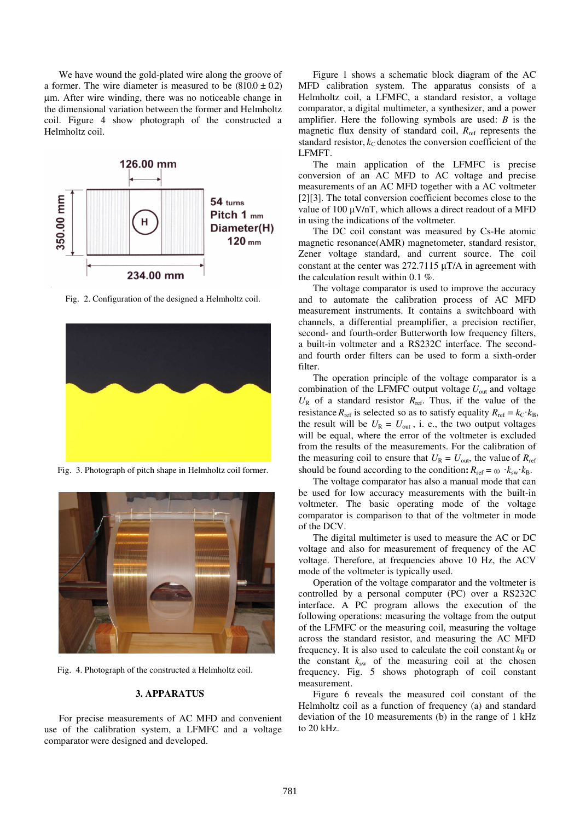We have wound the gold-plated wire along the groove of a former. The wire diameter is measured to be  $(810.0 \pm 0.2)$ µm. After wire winding, there was no noticeable change in the dimensional variation between the former and Helmholtz coil. Figure 4 show photograph of the constructed a Helmholtz coil.



Fig. 2. Configuration of the designed a Helmholtz coil.



Fig. 3. Photograph of pitch shape in Helmholtz coil former.



Fig. 4. Photograph of the constructed a Helmholtz coil.

#### **3. APPARATUS**

For precise measurements of AC MFD and convenient use of the calibration system, a LFMFC and a voltage comparator were designed and developed.

Figure 1 shows a schematic block diagram of the AC MFD calibration system. The apparatus consists of a Helmholtz coil, a LFMFC, a standard resistor, a voltage comparator, a digital multimeter, a synthesizer, and a power amplifier. Here the following symbols are used: *B* is the magnetic flux density of standard coil,  $R_{ref}$  represents the standard resistor,  $k<sub>C</sub>$  denotes the conversion coefficient of the LFMFT.

The main application of the LFMFC is precise conversion of an AC MFD to AC voltage and precise measurements of an AC MFD together with a AC voltmeter [2][3]. The total conversion coefficient becomes close to the value of 100 µV/nТ, which allows a direct readout of a MFD in using the indications of the voltmeter.

The DC coil constant was measured by Cs-He atomic magnetic resonance(AMR) magnetometer, standard resistor, Zener voltage standard, and current source. The coil constant at the center was 272.7115 µT/A in agreement with the calculation result within 0.1 %.

The voltage comparator is used to improve the accuracy and to automate the calibration process of AC MFD measurement instruments. It contains a switchboard with channels, a differential preamplifier, a precision rectifier, second- and fourth-order Butterworth low frequency filters, a built-in voltmeter and a RS232C interface. The secondand fourth order filters can be used to form a sixth-order filter.

The operation principle of the voltage comparator is a combination of the LFMFC output voltage *U*out and voltage  $U_R$  of a standard resistor  $R_{ref}$ . Thus, if the value of the resistance  $R_{\text{ref}}$  is selected so as to satisfy equality  $R_{\text{ref}} = k_C \cdot k_B$ , the result will be  $U_R = U_{out}$ , i. e., the two output voltages will be equal, where the error of the voltmeter is excluded from the results of the measurements. For the calibration of the measuring coil to ensure that  $U_R = U_{\text{out}}$ , the value of  $R_{\text{ref}}$ should be found according to the condition:  $R_{\text{ref}} = \omega k_{\text{sw}} k_{\text{B}}$ .

The voltage comparator has also a manual mode that can be used for low accuracy measurements with the built-in voltmeter. The basic operating mode of the voltage comparator is comparison to that of the voltmeter in mode of the DCV.

The digital multimeter is used to measure the AC or DC voltage and also for measurement of frequency of the AC voltage. Therefore, at frequencies above 10 Hz, the AСV mode of the voltmeter is typically used.

Operation of the voltage comparator and the voltmeter is controlled by a personal computer (PC) over a RS232C interface. A PC рrоgrаm allows the execution of the following operations: measuring the voltage from the output of the LFMFC or the measuring coil, measuring the voltage across the standard resistor, and measuring the AC MFD frequency. It is also used to calculate the coil constant  $k<sub>B</sub>$  or the constant  $k_{sw}$  of the measuring coil at the chosen frequency. Fig. 5 shows photograph of coil constant measurement.

Figure 6 reveals the measured coil constant of the Helmholtz coil as a function of frequency (a) and standard deviation of the 10 measurements (b) in the range of 1 kHz to 20 kHz.